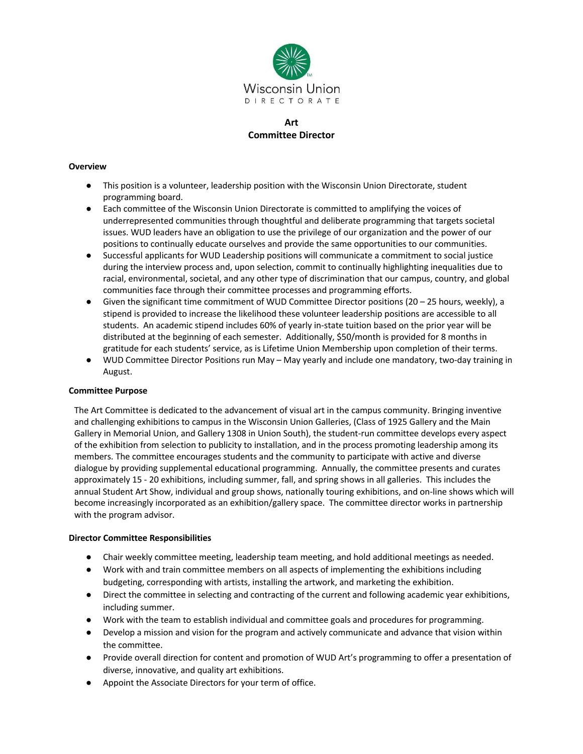

# **Art Committee Director**

## **Overview**

- This position is a volunteer, leadership position with the Wisconsin Union Directorate, student programming board.
- Each committee of the Wisconsin Union Directorate is committed to amplifying the voices of underrepresented communities through thoughtful and deliberate programming that targets societal issues. WUD leaders have an obligation to use the privilege of our organization and the power of our positions to continually educate ourselves and provide the same opportunities to our communities.
- Successful applicants for WUD Leadership positions will communicate a commitment to social justice during the interview process and, upon selection, commit to continually highlighting inequalities due to racial, environmental, societal, and any other type of discrimination that our campus, country, and global communities face through their committee processes and programming efforts.
- Given the significant time commitment of WUD Committee Director positions (20 25 hours, weekly), a stipend is provided to increase the likelihood these volunteer leadership positions are accessible to all students. An academic stipend includes 60% of yearly in-state tuition based on the prior year will be distributed at the beginning of each semester. Additionally, \$50/month is provided for 8 months in gratitude for each students' service, as is Lifetime Union Membership upon completion of their terms.
- WUD Committee Director Positions run May May yearly and include one mandatory, two-day training in August.

## **Committee Purpose**

The Art Committee is dedicated to the advancement of visual art in the campus community. Bringing inventive and challenging exhibitions to campus in the Wisconsin Union Galleries, (Class of 1925 Gallery and the Main Gallery in Memorial Union, and Gallery 1308 in Union South), the student-run committee develops every aspect of the exhibition from selection to publicity to installation, and in the process promoting leadership among its members. The committee encourages students and the community to participate with active and diverse dialogue by providing supplemental educational programming. Annually, the committee presents and curates approximately 15 - 20 exhibitions, including summer, fall, and spring shows in all galleries. This includes the annual Student Art Show, individual and group shows, nationally touring exhibitions, and on-line shows which will become increasingly incorporated as an exhibition/gallery space. The committee director works in partnership with the program advisor.

## **Director Committee Responsibilities**

- Chair weekly committee meeting, leadership team meeting, and hold additional meetings as needed.
- Work with and train committee members on all aspects of implementing the exhibitions including budgeting, corresponding with artists, installing the artwork, and marketing the exhibition.
- Direct the committee in selecting and contracting of the current and following academic year exhibitions, including summer.
- Work with the team to establish individual and committee goals and procedures for programming.
- Develop a mission and vision for the program and actively communicate and advance that vision within the committee.
- Provide overall direction for content and promotion of WUD Art's programming to offer a presentation of diverse, innovative, and quality art exhibitions.
- Appoint the Associate Directors for your term of office.